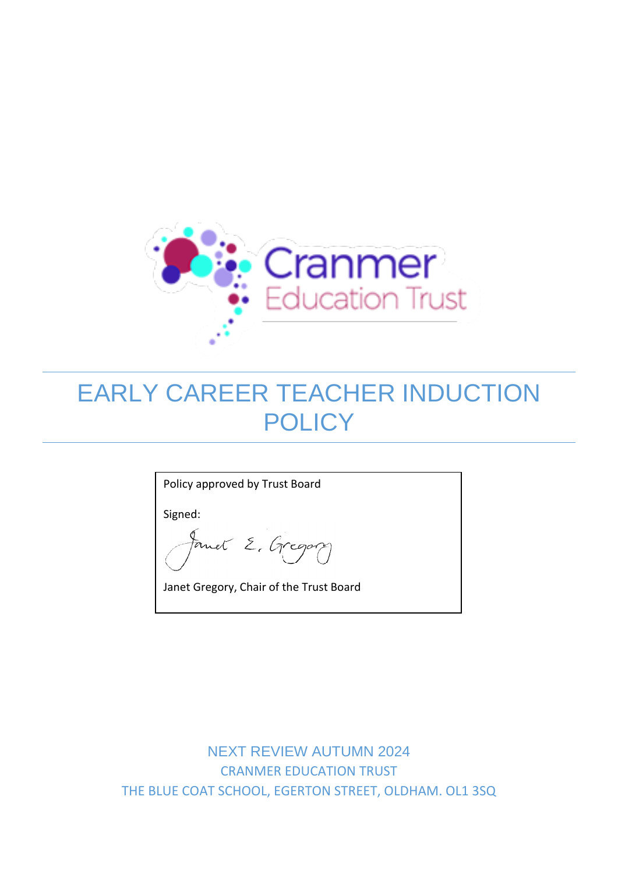

# EARLY CAREER TEACHER INDUCTION **POLICY**

Policy approved by Trust Board

Signed:

Formet E. Gregory

Janet Gregory, Chair of the Trust Board

NEXT REVIEW AUTUMN 2024 CRANMER EDUCATION TRUST THE BLUE COAT SCHOOL, EGERTON STREET, OLDHAM. OL1 3SQ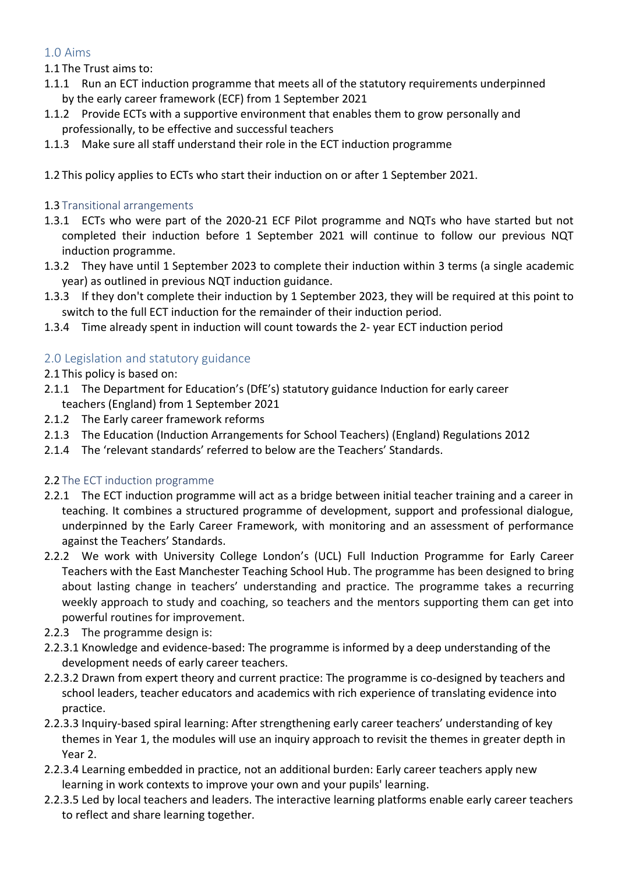# 1.0 Aims

- 1.1 The Trust aims to:
- 1.1.1 Run an ECT induction programme that meets all of the statutory requirements underpinned by the early career framework (ECF) from 1 September 2021
- 1.1.2 Provide ECTs with a supportive environment that enables them to grow personally and professionally, to be effective and successful teachers
- 1.1.3 Make sure all staff understand their role in the ECT induction programme
- 1.2 This policy applies to ECTs who start their induction on or after 1 September 2021.

### 1.3 Transitional arrangements

- 1.3.1 ECTs who were part of the 2020-21 ECF Pilot programme and NQTs who have started but not completed their induction before 1 September 2021 will continue to follow our previous NQT induction programme.
- 1.3.2 They have until 1 September 2023 to complete their induction within 3 terms (a single academic year) as outlined in previous NQT induction guidance.
- 1.3.3 If they don't complete their induction by 1 September 2023, they will be required at this point to switch to the full ECT induction for the remainder of their induction period.
- 1.3.4 Time already spent in induction will count towards the 2- year ECT induction period

# 2.0 Legislation and statutory guidance

- 2.1 This policy is based on:
- 2.1.1 The Department for Education's (DfE's) statutory guidance Induction for early career teachers (England) from 1 September 2021
- 2.1.2 The Early career framework reforms
- 2.1.3 The Education (Induction Arrangements for School Teachers) (England) Regulations 2012
- 2.1.4 The 'relevant standards' referred to below are the Teachers' Standards.

#### 2.2 The ECT induction programme

- 2.2.1 The ECT induction programme will act as a bridge between initial teacher training and a career in teaching. It combines a structured programme of development, support and professional dialogue, underpinned by the Early Career Framework, with monitoring and an assessment of performance against the Teachers' Standards.
- 2.2.2 We work with University College London's (UCL) Full Induction Programme for Early Career Teachers with the East Manchester Teaching School Hub. The programme has been designed to bring about lasting change in teachers' understanding and practice. The programme takes a recurring weekly approach to study and coaching, so teachers and the mentors supporting them can get into powerful routines for improvement.
- 2.2.3 The programme design is:
- 2.2.3.1 Knowledge and evidence-based: The programme is informed by a deep understanding of the development needs of early career teachers.
- 2.2.3.2 Drawn from expert theory and current practice: The programme is co-designed by teachers and school leaders, teacher educators and academics with rich experience of translating evidence into practice.
- 2.2.3.3 Inquiry-based spiral learning: After strengthening early career teachers' understanding of key themes in Year 1, the modules will use an inquiry approach to revisit the themes in greater depth in Year 2.
- 2.2.3.4 Learning embedded in practice, not an additional burden: Early career teachers apply new learning in work contexts to improve your own and your pupils' learning.
- 2.2.3.5 Led by local teachers and leaders. The interactive learning platforms enable early career teachers to reflect and share learning together.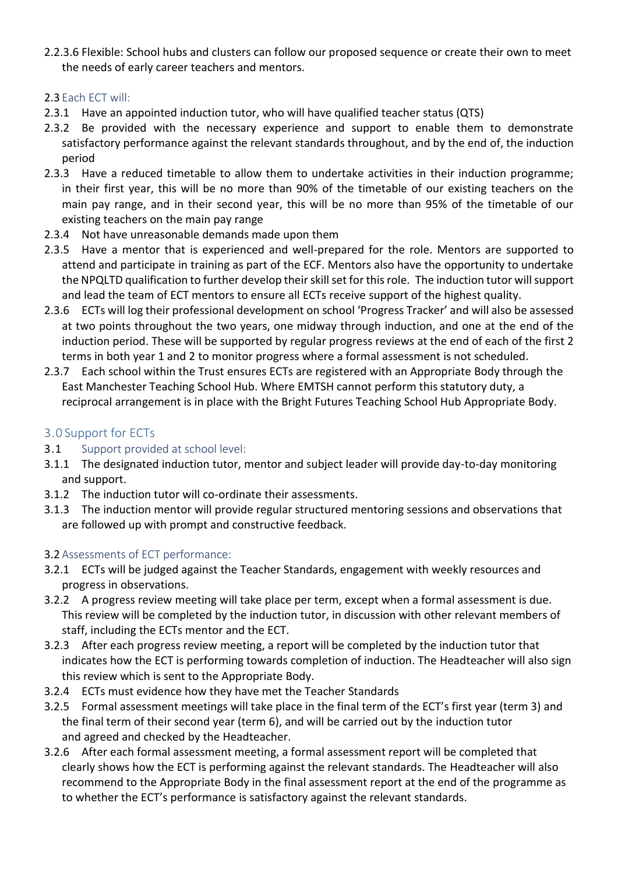2.2.3.6 Flexible: School hubs and clusters can follow our proposed sequence or create their own to meet the needs of early career teachers and mentors.

### 2.3 Each ECT will:

- 2.3.1 Have an appointed induction tutor, who will have qualified teacher status (QTS)
- 2.3.2 Be provided with the necessary experience and support to enable them to demonstrate satisfactory performance against the relevant standards throughout, and by the end of, the induction period
- 2.3.3 Have a reduced timetable to allow them to undertake activities in their induction programme; in their first year, this will be no more than 90% of the timetable of our existing teachers on the main pay range, and in their second year, this will be no more than 95% of the timetable of our existing teachers on the main pay range
- 2.3.4 Not have unreasonable demands made upon them
- 2.3.5 Have a mentor that is experienced and well-prepared for the role. Mentors are supported to attend and participate in training as part of the ECF. Mentors also have the opportunity to undertake the NPQLTD qualification to further develop their skill set for this role. The induction tutor will support and lead the team of ECT mentors to ensure all ECTs receive support of the highest quality.
- 2.3.6 ECTs will log their professional development on school 'Progress Tracker' and will also be assessed at two points throughout the two years, one midway through induction, and one at the end of the induction period. These will be supported by regular progress reviews at the end of each of the first 2 terms in both year 1 and 2 to monitor progress where a formal assessment is not scheduled.
- 2.3.7 Each school within the Trust ensures ECTs are registered with an Appropriate Body through the East Manchester Teaching School Hub. Where EMTSH cannot perform this statutory duty, a reciprocal arrangement is in place with the Bright Futures Teaching School Hub Appropriate Body.

# 3.0 Support for ECTs

- 3.1 Support provided at school level:
- 3.1.1 The designated induction tutor, mentor and subject leader will provide day-to-day monitoring and support.
- 3.1.2 The induction tutor will co-ordinate their assessments.
- 3.1.3 The induction mentor will provide regular structured mentoring sessions and observations that are followed up with prompt and constructive feedback.

#### 3.2 Assessments of ECT performance:

- 3.2.1 ECTs will be judged against the Teacher Standards, engagement with weekly resources and progress in observations.
- 3.2.2 A progress review meeting will take place per term, except when a formal assessment is due. This review will be completed by the induction tutor, in discussion with other relevant members of staff, including the ECTs mentor and the ECT.
- 3.2.3 After each progress review meeting, a report will be completed by the induction tutor that indicates how the ECT is performing towards completion of induction. The Headteacher will also sign this review which is sent to the Appropriate Body.
- 3.2.4 ECTs must evidence how they have met the Teacher Standards
- 3.2.5 Formal assessment meetings will take place in the final term of the ECT's first year (term 3) and the final term of their second year (term 6), and will be carried out by the induction tutor and agreed and checked by the Headteacher.
- 3.2.6 After each formal assessment meeting, a formal assessment report will be completed that clearly shows how the ECT is performing against the relevant standards. The Headteacher will also recommend to the Appropriate Body in the final assessment report at the end of the programme as to whether the ECT's performance is satisfactory against the relevant standards.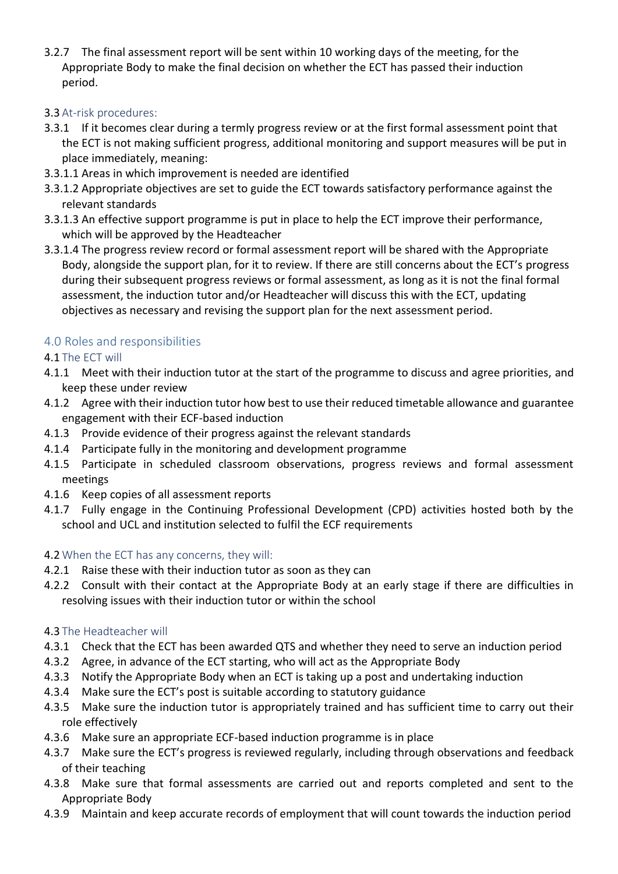3.2.7 The final assessment report will be sent within 10 working days of the meeting, for the Appropriate Body to make the final decision on whether the ECT has passed their induction period.

### 3.3 At-risk procedures:

- 3.3.1 If it becomes clear during a termly progress review or at the first formal assessment point that the ECT is not making sufficient progress, additional monitoring and support measures will be put in place immediately, meaning:
- 3.3.1.1 Areas in which improvement is needed are identified
- 3.3.1.2 Appropriate objectives are set to guide the ECT towards satisfactory performance against the relevant standards
- 3.3.1.3 An effective support programme is put in place to help the ECT improve their performance, which will be approved by the Headteacher
- 3.3.1.4 The progress review record or formal assessment report will be shared with the Appropriate Body, alongside the support plan, for it to review. If there are still concerns about the ECT's progress during their subsequent progress reviews or formal assessment, as long as it is not the final formal assessment, the induction tutor and/or Headteacher will discuss this with the ECT, updating objectives as necessary and revising the support plan for the next assessment period.

## 4.0 Roles and responsibilities

### 4.1 The ECT will

- 4.1.1 Meet with their induction tutor at the start of the programme to discuss and agree priorities, and keep these under review
- 4.1.2 Agree with their induction tutor how best to use their reduced timetable allowance and guarantee engagement with their ECF-based induction
- 4.1.3 Provide evidence of their progress against the relevant standards
- 4.1.4 Participate fully in the monitoring and development programme
- 4.1.5 Participate in scheduled classroom observations, progress reviews and formal assessment meetings
- 4.1.6 Keep copies of all assessment reports
- 4.1.7 Fully engage in the Continuing Professional Development (CPD) activities hosted both by the school and UCL and institution selected to fulfil the ECF requirements

#### 4.2 When the ECT has any concerns, they will:

- 4.2.1 Raise these with their induction tutor as soon as they can
- 4.2.2 Consult with their contact at the Appropriate Body at an early stage if there are difficulties in resolving issues with their induction tutor or within the school

## 4.3 The Headteacher will

- 4.3.1 Check that the ECT has been awarded QTS and whether they need to serve an induction period
- 4.3.2 Agree, in advance of the ECT starting, who will act as the Appropriate Body
- 4.3.3 Notify the Appropriate Body when an ECT is taking up a post and undertaking induction
- 4.3.4 Make sure the ECT's post is suitable according to statutory guidance
- 4.3.5 Make sure the induction tutor is appropriately trained and has sufficient time to carry out their role effectively
- 4.3.6 Make sure an appropriate ECF-based induction programme is in place
- 4.3.7 Make sure the ECT's progress is reviewed regularly, including through observations and feedback of their teaching
- 4.3.8 Make sure that formal assessments are carried out and reports completed and sent to the Appropriate Body
- 4.3.9 Maintain and keep accurate records of employment that will count towards the induction period